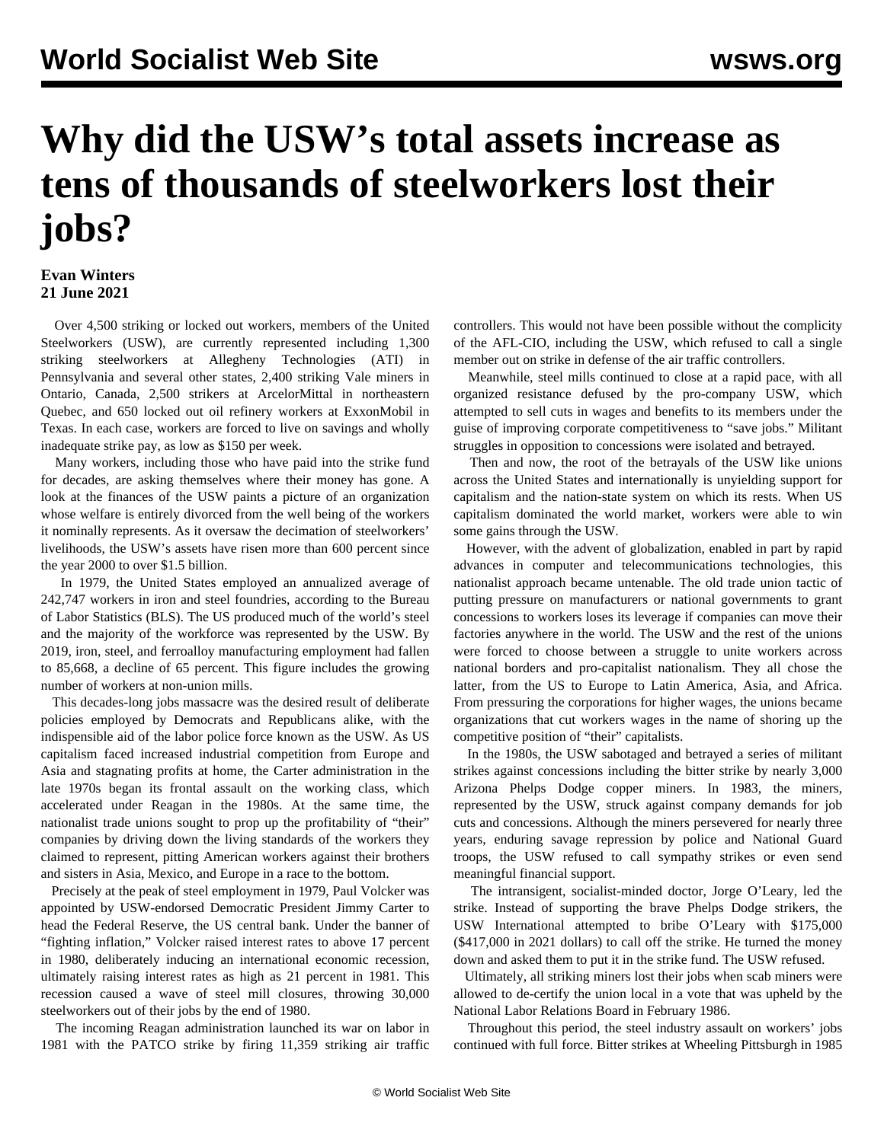## **Why did the USW's total assets increase as tens of thousands of steelworkers lost their jobs?**

## **Evan Winters 21 June 2021**

 Over 4,500 striking or locked out workers, members of the United Steelworkers (USW), are currently represented including 1,300 striking steelworkers at [Allegheny](/en/articles/2021/06/14/stee-j14.html) Technologies (ATI) in Pennsylvania and several other states, 2,400 striking [Vale miners](/en/articles/2021/06/17/vale-j17.html) in Ontario, Canada, 2,500 strikers at [ArcelorMittal](/en/articles/2021/05/24/quam-m24.html) in northeastern Quebec, and 650 locked out oil refinery workers at [ExxonMobil](/en/articles/2021/06/05/lbem-j01.html) in Texas. In each case, workers are forced to live on savings and wholly inadequate strike pay, as low as \$150 per week.

 Many workers, including those who have paid into the strike fund for decades, are asking themselves where their money has gone. A look at the finances of the USW paints a picture of an organization whose welfare is entirely divorced from the well being of the workers it nominally represents. As it oversaw the decimation of steelworkers' livelihoods, the USW's assets have risen more than 600 percent since the year 2000 to over \$1.5 billion.

 In 1979, the United States employed an annualized average of 242,747 workers in iron and steel foundries, according to the Bureau of Labor Statistics (BLS). The US produced much of the world's steel and the majority of the workforce was represented by the USW. By 2019, iron, steel, and ferroalloy manufacturing employment had fallen to 85,668, a decline of 65 percent. This figure includes the growing number of workers at non-union mills.

 This decades-long jobs massacre was the desired result of deliberate policies employed by Democrats and Republicans alike, with the indispensible aid of the labor police force known as the USW. As US capitalism faced increased industrial competition from Europe and Asia and stagnating profits at home, the Carter administration in the late 1970s began its frontal assault on the working class, which accelerated under Reagan in the 1980s. At the same time, the nationalist trade unions sought to prop up the profitability of "their" companies by driving down the living standards of the workers they claimed to represent, pitting American workers against their brothers and sisters in Asia, Mexico, and Europe in a race to the bottom.

 Precisely at the peak of steel employment in 1979, Paul Volcker was appointed by USW-endorsed Democratic President Jimmy Carter to head the Federal Reserve, the US central bank. Under the banner of "fighting inflation," Volcker raised interest rates to above 17 percent in 1980, [deliberately inducing an international economic recession](/en/articles/2019/12/11/pers-d11.html), ultimately raising interest rates as high as 21 percent in 1981. This recession caused a wave of steel mill closures, throwing 30,000 steelworkers out of their jobs by the end of 1980.

 The incoming Reagan administration launched its war on labor in 1981 with the [PATCO strike](/en/articles/2011/08/pat1-a03.html) by firing 11,359 striking air traffic controllers. This would not have been possible without the complicity of the AFL-CIO, including the USW, which refused to call a single member out on strike in defense of the air traffic controllers.

 Meanwhile, steel mills continued to close at a rapid pace, with all organized resistance defused by the pro-company USW, which attempted to sell cuts in wages and benefits to its members under the guise of improving corporate competitiveness to "save jobs." Militant struggles in opposition to concessions were isolated and betrayed.

 Then and now, the root of the betrayals of the USW like unions across the United States and internationally is unyielding support for capitalism and the nation-state system on which its rests. When US capitalism dominated the world market, workers were able to win some gains through the USW.

 However, with the advent of globalization, enabled in part by rapid advances in computer and telecommunications technologies, this nationalist approach became untenable. The old trade union tactic of putting pressure on manufacturers or national governments to grant concessions to workers loses its leverage if companies can move their factories anywhere in the world. The USW and the rest of the unions were forced to choose between a struggle to unite workers across national borders and pro-capitalist nationalism. They all chose the latter, from the US to Europe to Latin America, Asia, and Africa. From pressuring the corporations for higher wages, the unions became organizations that cut workers wages in the name of shoring up the competitive position of "their" capitalists.

 In the 1980s, the USW sabotaged and betrayed a series of militant strikes against concessions including the bitter strike by nearly 3,000 Arizona Phelps Dodge copper miners. In 1983, the miners, represented by the USW, struck against company demands for job cuts and concessions. Although the miners persevered for nearly three years, enduring savage repression by police and National Guard troops, the USW refused to call sympathy strikes or even send meaningful financial support.

 The intransigent, socialist-minded doctor, Jorge O'Leary, led the strike. Instead of supporting the brave Phelps Dodge strikers, the USW International [attempted to bribe](/en/articles/2021/04/17/inte-a17.html) O'Leary with \$175,000 (\$417,000 in 2021 dollars) to call off the strike. He turned the money down and asked them to put it in the strike fund. The USW refused.

 Ultimately, all striking miners lost their jobs when scab miners were allowed to de-certify the union local in a vote that was upheld by the National Labor Relations Board in February 1986.

 Throughout this period, the steel industry assault on workers' jobs continued with full force. Bitter strikes at Wheeling Pittsburgh in 1985